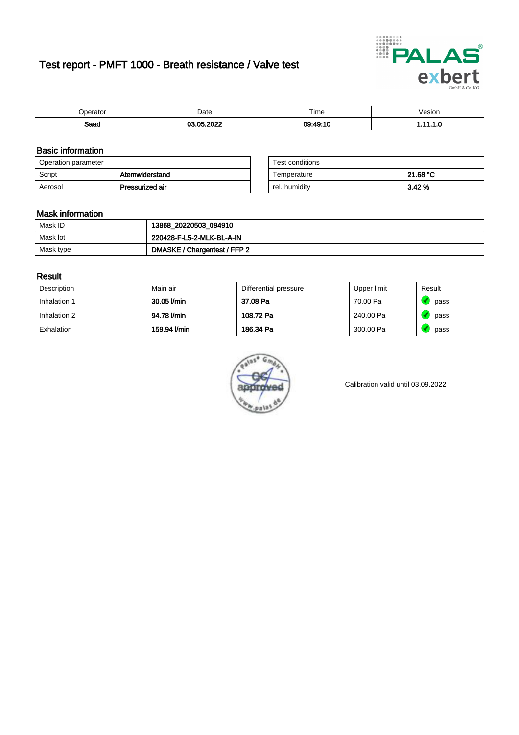# Test report - PMFT 1000 - Breath resistance / Valve test



| 'perator            | Date          | $- \cdot$<br>⊺ime<br>. | /esion |
|---------------------|---------------|------------------------|--------|
| <b>Rood</b><br>oaau | റററ<br>$\sim$ | 09.49.10               | .      |

### Basic information

| Operation parameter |                 | Test conditions |          |
|---------------------|-----------------|-----------------|----------|
| Script              | Atemwiderstand  | Temperature     | 21.68 °C |
| Aerosol             | Pressurized air | rel. humidity   | 3.42 %   |

| Test conditions |          |
|-----------------|----------|
| Temperature     | 21.68 °C |
| rel. humidity   | 3.42%    |

#### Mask information

| Mask ID   | 13868_20220503_094910        |
|-----------|------------------------------|
| Mask lot  | 220428-F-L5-2-MLK-BL-A-IN    |
| Mask type | DMASKE / Chargentest / FFP 2 |

### Result

| Description  | Main air     | Differential pressure | Upper limit | Result |
|--------------|--------------|-----------------------|-------------|--------|
| Inhalation 1 | 30.05 l/min  | 37.08 Pa              | 70.00 Pa    | pass   |
| Inhalation 2 | 94.78 l/min  | 108.72 Pa             | 240.00 Pa   | pass   |
| Exhalation   | 159.94 l/min | 186.34 Pa             | 300.00 Pa   | pass   |



Calibration valid until 03.09.2022